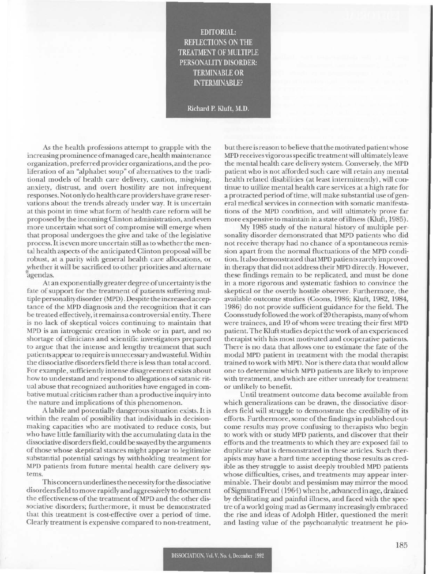EDITORIAL: REFLECTIONS ON THE **TREATMENT OF MULTIPLE** PERSONALITY DISORDER: TERMINABLE OR INTERMINABLE?

Richard P. Kluft, M.D.

As the health professions attempt to grapple with the increasing prominence of managed care, health main tenance organization, preferred providerorganizalions, and the proliferation of an "alphabet soup" of alternatives to the traditional models of health care delivery, caution, misgiving, anxiety, distrust, and overt hostility are not infrequent responses. NOlonlydo health care providers have grave reservations about the trends already under way. It is uncertain at this point in time what form of health care reform will be proposed by the incoming Clinton administration, and even more uncertain what sort of compromise will emerge when that proposal undergoes the give and take of the legislative process. It is even more uncertain still as to whether the mental health aspects of the anticipated Clinton proposal will be robust, at a parity with general health care allocations, or whether it will be sacrificed to other priorities and alternate • agendas.

At an exponentially greater degree of uncertainty is the fate of support for the treatment of patients suffering multiple personality disorder (MPD). Despite the increased acceptance of the MPD diagnosis and the recognition that it can be treated effectively, it remains a controversial entity. There is no lack of skeptical voices continuing to maintain that MPD is an iatrogenic creation in whole or in part, and no shortage of clinicians and scientific invesrigators prepared to argue that the intense and lengthy treatment that such patients appear to require is un necessary and wasteful. Within the dissociative disorders field there is less than total accord. For example, sufficiently intense disagreement exists about how to understand and respond to allegations of satanic ritual abuse that recognized authorities have engaged in combative mutual criticism rather than a productive inquiry into the nature and implications of this phenomenon.

A labile and potentially dangerous situation exists. It is within the realm of possibility that individuals in decisionmaking capacities who arc motivated to reduce costs, but who have little familiarity with the accumulating data in the dissociative disorders field, could be swayed by the arguments of those whose skeptical slances might appear to legitimize substantial potential savings by withholding treatment for MPD patients from future mental health care delivery systems.

This concern underlines the necessity for the dissociative disorders field to move rapidly and aggressively to document the effectiveness of the treatment of MPD and the other dissociative disorders; furthermore, it must be demonstrated that this treatment is cost-effective over a period of time. Clearly treatment is expensive compared to non-treatment,

but there is reason to believe that the motivated patient whose MPD receives vigorous specific treatrnen t will ultimately leave the mental health care delivery system. Conversely, the MPD patient who is not afforded such care will retain any mental health related disabilities (at least intermittently), will continue to utilize mental health care services at a high rate for a protracted period of time, will make substantial use of general medical services in connection with somatic manifestations of the MPD condition, and will ultimately prove far more expensive to maintain in a state of illness (Kluft, 1985).

My 1985 study of the natural history of multiple personality disorder demonstrated that MPD patients who did not receive therapy had no chance of a spontaneous remission apart from the normal fluctuations of the MPD condition. It also demonstrated that MPD patients rarely improved in therapy that did not address their MPD directly. However, these findings remain to be replicated, and must be done in a more rigorous and systematic fashion to convince the skeptical or the overtly hostile observer. Furthermore, the available outcome studies (Coons, 1986; Kluft, 1982, 1984, 1986) do not provide sufficient guidance for the field. The Coons study followed thework of20 therapists, manyof whom were trainees, and 19 of whom were treating their first MPD patient. The Kluft studies depict the work of an experienced therapist with his most motivated and cooperative patients. There is no data that allows one to estimate the fate of the modal MPD patient in treatment with the modal therapist trained to work with MPD. Nor is there data that would allow one to determine which MPI) patients are likely to improve with treatment, and which are either unready for treatment or unlikely to benefit.

Until treatment outcome data become available from which generalizations can be drawn, the dissociative disorders field will struggle to demonstrate the credibility of its efforts. Furthermore, some of the findings in published outcome results may prove confusing to therapists who begin to work with or study MPD patients, and discover that their efforts and the treatments to which they are exposed fail to duplicate what is demonstrated in these articles. Such therapists may have a hard time accepting those results as credible as they struggle to assist deeply troubled MPD patients whose difficulties, crises, and treatments may appear interminable. Their doubt and pessimism may mirror the mood of Sigmund Freud (1964) when he,advanced in agc,drained by debilitating and painful illness, and faced with the spectre of a world going mad as Germany increasingly embraced the rise and ideas of Adolph Hitler, questioned the merit and lasting value of the psychoanalytic treatment he pio-

I